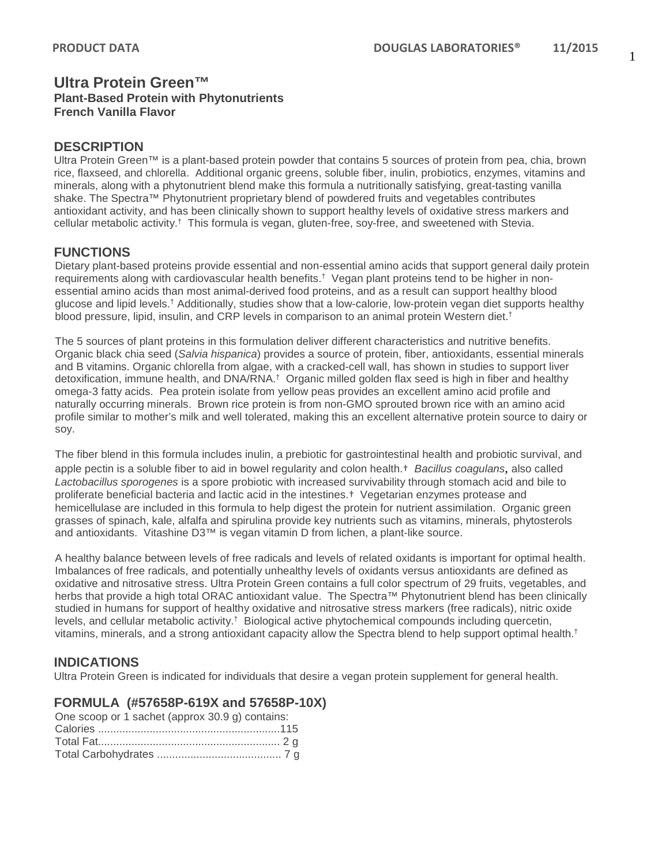### **Ultra Protein Green™ Plant-Based Protein with Phytonutrients French Vanilla Flavor**

### **DESCRIPTION**

Ultra Protein Green™ is a plant-based protein powder that contains 5 sources of protein from pea, chia, brown rice, flaxseed, and chlorella. Additional organic greens, soluble fiber, inulin, probiotics, enzymes, vitamins and minerals, along with a phytonutrient blend make this formula a nutritionally satisfying, great-tasting vanilla shake. The Spectra™ Phytonutrient proprietary blend of powdered fruits and vegetables contributes antioxidant activity, and has been clinically shown to support healthy levels of oxidative stress markers and cellular metabolic activity.† This formula is vegan, gluten-free, soy-free, and sweetened with Stevia.

## **FUNCTIONS**

Dietary plant-based proteins provide essential and non-essential amino acids that support general daily protein requirements along with cardiovascular health benefits.† Vegan plant proteins tend to be higher in nonessential amino acids than most animal-derived food proteins, and as a result can support healthy blood glucose and lipid levels.† Additionally, studies show that a low-calorie, low-protein vegan diet supports healthy blood pressure, lipid, insulin, and CRP levels in comparison to an animal protein Western diet. †

The 5 sources of plant proteins in this formulation deliver different characteristics and nutritive benefits. Organic black chia seed (*Salvia hispanica*) provides a source of protein, fiber, antioxidants, essential minerals and B vitamins. Organic chlorella from algae, with a cracked-cell wall, has shown in studies to support liver detoxification, immune health, and DNA/RNA.† Organic milled golden flax seed is high in fiber and healthy omega-3 fatty acids. Pea protein isolate from yellow peas provides an excellent amino acid profile and naturally occurring minerals. Brown rice protein is from non-GMO sprouted brown rice with an amino acid profile similar to mother's milk and well tolerated, making this an excellent alternative protein source to dairy or soy.

The fiber blend in this formula includes inulin, a prebiotic for gastrointestinal health and probiotic survival, and apple pectin is a soluble fiber to aid in bowel regularity and colon health.† *Bacillus coagulans*, also called *Lactobacillus sporogenes* is a spore probiotic with increased survivability through stomach acid and bile to proliferate beneficial bacteria and lactic acid in the intestines.† Vegetarian enzymes protease and hemicellulase are included in this formula to help digest the protein for nutrient assimilation. Organic green grasses of spinach, kale, alfalfa and spirulina provide key nutrients such as vitamins, minerals, phytosterols and antioxidants. Vitashine D3™ is vegan vitamin D from lichen, a plant-like source.

A healthy balance between levels of free radicals and levels of related oxidants is important for optimal health. Imbalances of free radicals, and potentially unhealthy levels of oxidants versus antioxidants are defined as oxidative and nitrosative stress. Ultra Protein Green contains a full color spectrum of 29 fruits, vegetables, and herbs that provide a high total ORAC antioxidant value. The Spectra™ Phytonutrient blend has been clinically studied in humans for support of healthy oxidative and nitrosative stress markers (free radicals), nitric oxide levels, and cellular metabolic activity.† Biological active phytochemical compounds including quercetin, vitamins, minerals, and a strong antioxidant capacity allow the Spectra blend to help support optimal health.†

# **INDICATIONS**

Ultra Protein Green is indicated for individuals that desire a vegan protein supplement for general health.

#### **FORMULA (#57658P-619X and 57658P-10X)**

| One scoop or 1 sachet (approx 30.9 g) contains: |  |
|-------------------------------------------------|--|
|                                                 |  |
|                                                 |  |
|                                                 |  |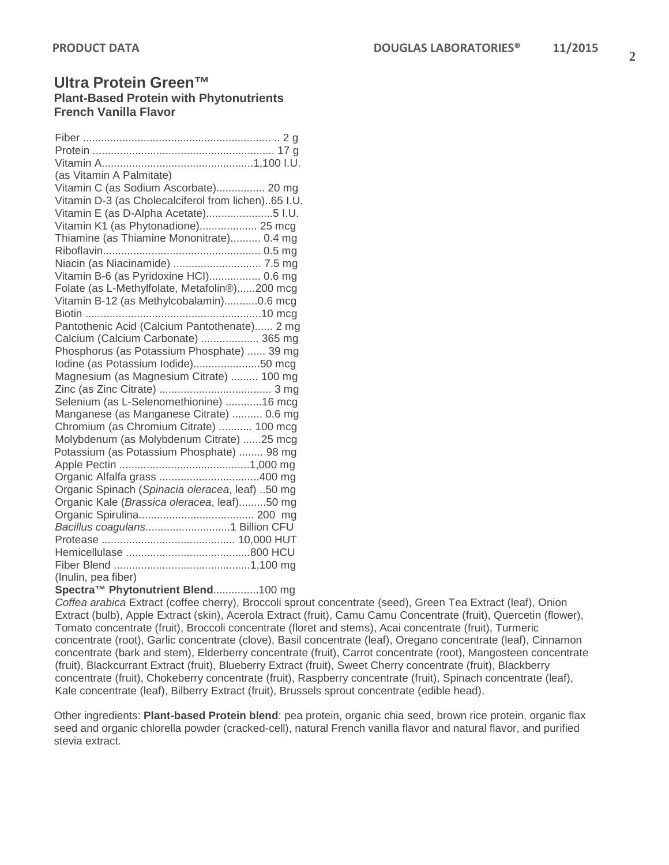## **Ultra Protein Green™ Plant-Based Protein with Phytonutrients French Vanilla Flavor**

| (as Vitamin A Palmitate)                            |
|-----------------------------------------------------|
| Vitamin C (as Sodium Ascorbate) 20 mg               |
| Vitamin D-3 (as Cholecalciferol from lichen)65 I.U. |
| Vitamin E (as D-Alpha Acetate)5 I.U.                |
| Vitamin K1 (as Phytonadione) 25 mcg                 |
| Thiamine (as Thiamine Mononitrate) 0.4 mg           |
|                                                     |
| Niacin (as Niacinamide)  7.5 mg                     |
| Vitamin B-6 (as Pyridoxine HCI) 0.6 mg              |
| Folate (as L-Methylfolate, Metafolin®)200 mcg       |
| Vitamin B-12 (as Methylcobalamin)0.6 mcg            |
|                                                     |
| Pantothenic Acid (Calcium Pantothenate) 2 mg        |
| Calcium (Calcium Carbonate)  365 mg                 |
| Phosphorus (as Potassium Phosphate)  39 mg          |
| lodine (as Potassium lodide)50 mcg                  |
| Magnesium (as Magnesium Citrate)  100 mg            |
|                                                     |
| Selenium (as L-Selenomethionine) 16 mcg             |
| Manganese (as Manganese Citrate)  0.6 mg            |
| Chromium (as Chromium Citrate)  100 mcg             |
| Molybdenum (as Molybdenum Citrate) 25 mcg           |
| Potassium (as Potassium Phosphate)  98 mg           |
|                                                     |
|                                                     |
| Organic Spinach (Spinacia oleracea, leaf) 50 mg     |
| Organic Kale (Brassica oleracea, leaf)50 mg         |
|                                                     |
|                                                     |
|                                                     |
|                                                     |
|                                                     |
| (Inulin, pea fiber)                                 |

#### **Spectra™ Phytonutrient Blend**...............100 mg

*Coffea arabica* Extract (coffee cherry), Broccoli sprout concentrate (seed), Green Tea Extract (leaf), Onion Extract (bulb), Apple Extract (skin), Acerola Extract (fruit), Camu Camu Concentrate (fruit), Quercetin (flower), Tomato concentrate (fruit), Broccoli concentrate (floret and stems), Acai concentrate (fruit), Turmeric concentrate (root), Garlic concentrate (clove), Basil concentrate (leaf), Oregano concentrate (leaf), Cinnamon concentrate (bark and stem), Elderberry concentrate (fruit), Carrot concentrate (root), Mangosteen concentrate (fruit), Blackcurrant Extract (fruit), Blueberry Extract (fruit), Sweet Cherry concentrate (fruit), Blackberry concentrate (fruit), Chokeberry concentrate (fruit), Raspberry concentrate (fruit), Spinach concentrate (leaf), Kale concentrate (leaf), Bilberry Extract (fruit), Brussels sprout concentrate (edible head).

Other ingredients: **Plant-based Protein blend**: pea protein, organic chia seed, brown rice protein, organic flax seed and organic chlorella powder (cracked-cell), natural French vanilla flavor and natural flavor, and purified stevia extract.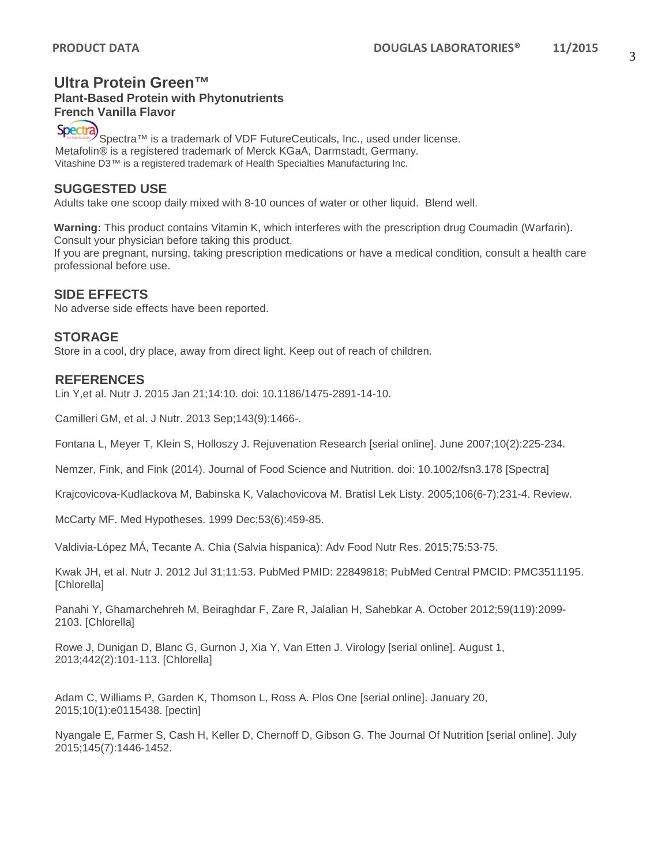#### **Ultra Protein Green™ Plant-Based Protein with Phytonutrients**

**French Vanilla Flavor** 

Spectra

Spectra™ is a trademark of VDF FutureCeuticals, Inc., used under license. Metafolin® is a registered trademark of Merck KGaA, Darmstadt, Germany. Vitashine D3™ is a registered trademark of Health Specialties Manufacturing Inc.

### **SUGGESTED USE**

Adults take one scoop daily mixed with 8-10 ounces of water or other liquid. Blend well.

**Warning:** This product contains Vitamin K, which interferes with the prescription drug Coumadin (Warfarin). Consult your physician before taking this product. If you are pregnant, nursing, taking prescription medications or have a medical condition, consult a health care professional before use.

### **SIDE EFFECTS**

No adverse side effects have been reported.

### **STORAGE**

Store in a cool, dry place, away from direct light. Keep out of reach of children.

#### **REFERENCES**

Lin Y,et al. Nutr J. 2015 Jan 21;14:10. doi: 10.1186/1475-2891-14-10.

Camilleri GM, et al. J Nutr. 2013 Sep;143(9):1466-.

Fontana L, Meyer T, Klein S, Holloszy J. Rejuvenation Research [serial online]. June 2007;10(2):225-234.

Nemzer, Fink, and Fink (2014). Journal of Food Science and Nutrition. doi: 10.1002/fsn3.178 [Spectra]

Krajcovicova-Kudlackova M, Babinska K, Valachovicova M. Bratisl Lek Listy. 2005;106(6-7):231-4. Review.

McCarty MF. Med Hypotheses. 1999 Dec;53(6):459-85.

Valdivia-López MÁ, Tecante A. Chia (Salvia hispanica): Adv Food Nutr Res. 2015;75:53-75.

Kwak JH, et al. Nutr J. 2012 Jul 31;11:53. PubMed PMID: 22849818; PubMed Central PMCID: PMC3511195. [Chlorella]

Panahi Y, Ghamarchehreh M, Beiraghdar F, Zare R, Jalalian H, Sahebkar A. October 2012;59(119):2099- 2103. [Chlorella]

Rowe J, Dunigan D, Blanc G, Gurnon J, Xia Y, Van Etten J. Virology [serial online]. August 1, 2013;442(2):101-113. [Chlorella]

Adam C, Williams P, Garden K, Thomson L, Ross A. Plos One [serial online]. January 20, 2015;10(1):e0115438. [pectin]

Nyangale E, Farmer S, Cash H, Keller D, Chernoff D, Gibson G. The Journal Of Nutrition [serial online]. July 2015;145(7):1446-1452.